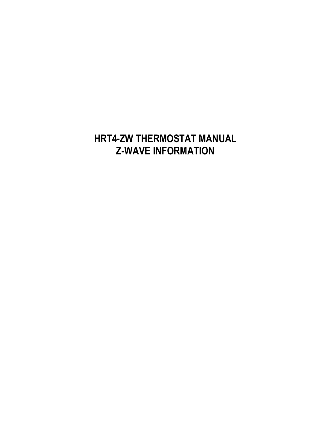# **HRT4-ZW THERMOSTAT MANUAL Z-WAVE INFORMATION**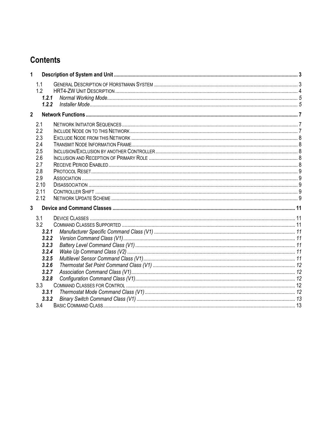## **Contents**

| 1              |                                                                                                             |  |  |  |
|----------------|-------------------------------------------------------------------------------------------------------------|--|--|--|
|                | 1.1<br>1.2<br>1.2.1                                                                                         |  |  |  |
|                | 1.2.2                                                                                                       |  |  |  |
| $\overline{2}$ |                                                                                                             |  |  |  |
|                | 2.1<br>2.2<br>2.3<br>2.4<br>2.5<br>2.6<br>2.7<br>2.8<br>2.9<br>2.10<br>2.11<br>2.12                         |  |  |  |
| 3              |                                                                                                             |  |  |  |
|                | 3.1<br>3.2<br>3.2.1<br>3.2.2<br>3.2.3<br>3.2.4<br>3.2.5<br>3.2.6<br>3.2.7<br>3.2.8<br>3.3<br>3.3.1<br>3.3.2 |  |  |  |
|                | 3.4                                                                                                         |  |  |  |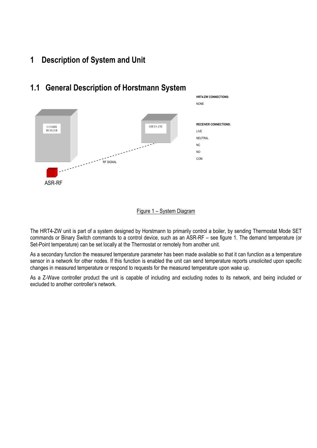#### **1 Description of System and Unit**



#### **1.1 General Description of Horstmann System**



The HRT4-ZW unit is part of a system designed by Horstmann to primarily control a boiler, by sending Thermostat Mode SET commands or Binary Switch commands to a control device, such as an ASR-RF – see figure 1. The demand temperature (or Set-Point temperature) can be set locally at the Thermostat or remotely from another unit.

As a secondary function the measured temperature parameter has been made available so that it can function as a temperature sensor in a network for other nodes. If this function is enabled the unit can send temperature reports unsolicited upon specific changes in measured temperature or respond to requests for the measured temperature upon wake up.

As a Z-Wave controller product the unit is capable of including and excluding nodes to its network, and being included or excluded to another controller's network.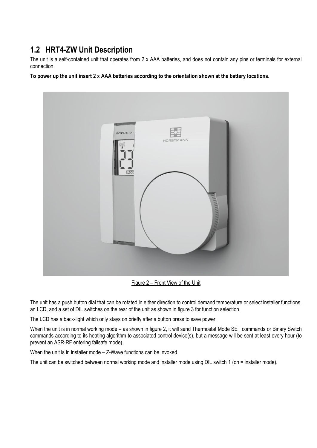### **1.2 HRT4-ZW Unit Description**

The unit is a self-contained unit that operates from 2 x AAA batteries, and does not contain any pins or terminals for external connection.

**To power up the unit insert 2 x AAA batteries according to the orientation shown at the battery locations.**



Figure 2 – Front View of the Unit

The unit has a push button dial that can be rotated in either direction to control demand temperature or select installer functions, an LCD, and a set of DIL switches on the rear of the unit as shown in figure 3 for function selection.

The LCD has a back-light which only stays on briefly after a button press to save power.

When the unit is in normal working mode – as shown in figure 2, it will send Thermostat Mode SET commands or Binary Switch commands according to its heating algorithm to associated control device(s), but a message will be sent at least every hour (to prevent an ASR-RF entering failsafe mode).

When the unit is in installer mode – Z-Wave functions can be invoked.

The unit can be switched between normal working mode and installer mode using DIL switch 1 (on = installer mode).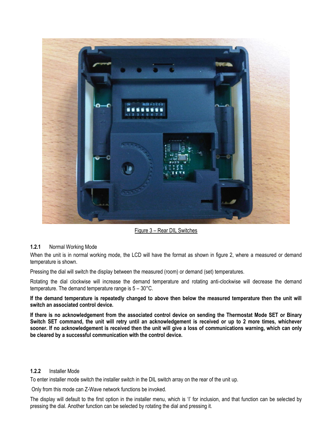

Figure 3 – Rear DIL Switches

#### **1.2.1** Normal Working Mode

When the unit is in normal working mode, the LCD will have the format as shown in figure 2, where a measured or demand temperature is shown.

Pressing the dial will switch the display between the measured (room) or demand (set) temperatures.

Rotating the dial clockwise will increase the demand temperature and rotating anti-clockwise will decrease the demand temperature. The demand temperature range is 5 – 30°C.

**If the demand temperature is repeatedly changed to above then below the measured temperature then the unit will switch an associated control device.** 

**If there is no acknowledgement from the associated control device on sending the Thermostat Mode SET or Binary Switch SET command, the unit will retry until an acknowledgement is received or up to 2 more times, whichever sooner. If no acknowledgement is received then the unit will give a loss of communications warning, which can only be cleared by a successful communication with the control device.**

#### **1.2.2** Installer Mode

To enter installer mode switch the installer switch in the DIL switch array on the rear of the unit up.

Only from this mode can Z-Wave network functions be invoked.

The display will default to the first option in the installer menu, which is 'I' for inclusion, and that function can be selected by pressing the dial. Another function can be selected by rotating the dial and pressing it.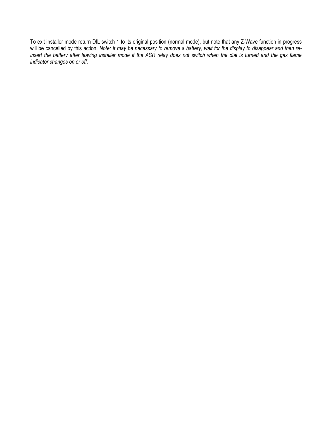To exit installer mode return DIL switch 1 to its original position (normal mode), but note that any Z-Wave function in progress will be cancelled by this action. *Note: It may be necessary to remove a battery, wait for the display to disappear and then re*insert the battery after leaving installer mode if the ASR relay does not switch when the dial is turned and the gas flame *indicator changes on or off.*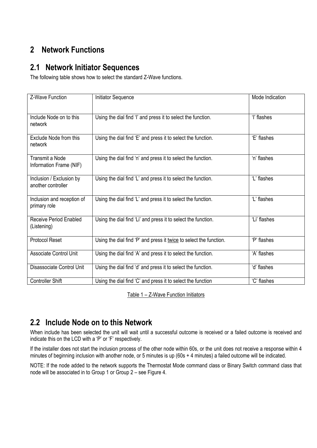## **2 Network Functions**

#### **2.1 Network Initiator Sequences**

The following table shows how to select the standard Z-Wave functions.

| Z-Wave Function                                   | <b>Initiator Sequence</b>                                          | Mode Indication |
|---------------------------------------------------|--------------------------------------------------------------------|-----------------|
| Include Node on to this<br>network                | Using the dial find 'I' and press it to select the function.       | 'l' flashes     |
| Exclude Node from this<br>network                 | Using the dial find 'E' and press it to select the function.       | 'E' flashes     |
| <b>Transmit a Node</b><br>Information Frame (NIF) | Using the dial find 'n' and press it to select the function.       | 'n' flashes     |
| Inclusion / Exclusion by<br>another controller    | Using the dial find 'L' and press it to select the function.       | 'L' flashes     |
| Inclusion and reception of<br>primary role        | Using the dial find 'L' and press it to select the function.       | 'L' flashes     |
| Receive Period Enabled<br>(Listening)             | Using the dial find 'Li' and press it to select the function.      | 'Li' flashes    |
| <b>Protocol Reset</b>                             | Using the dial find 'P' and press it twice to select the function. | 'P' flashes     |
| <b>Associate Control Unit</b>                     | Using the dial find 'A' and press it to select the function.       | 'A' flashes     |
| Disassociate Control Unit                         | Using the dial find 'd' and press it to select the function.       | 'd' flashes     |
| <b>Controller Shift</b>                           | Using the dial find 'C' and press it to select the function        | 'C' flashes     |

Table 1 – Z-Wave Function Initiators

### **2.2 Include Node on to this Network**

When include has been selected the unit will wait until a successful outcome is received or a failed outcome is received and indicate this on the LCD with a 'P' or 'F' respectively.

If the installer does not start the inclusion process of the other node within 60s, or the unit does not receive a response within 4 minutes of beginning inclusion with another node, or 5 minutes is up (60s + 4 minutes) a failed outcome will be indicated.

NOTE: If the node added to the network supports the Thermostat Mode command class or Binary Switch command class that node will be associated in to Group 1 or Group 2 – see Figure 4.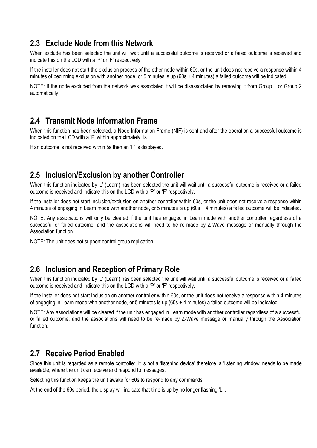#### **2.3 Exclude Node from this Network**

When exclude has been selected the unit will wait until a successful outcome is received or a failed outcome is received and indicate this on the LCD with a 'P' or 'F' respectively.

If the installer does not start the exclusion process of the other node within 60s, or the unit does not receive a response within 4 minutes of beginning exclusion with another node, or 5 minutes is up (60s + 4 minutes) a failed outcome will be indicated.

NOTE: If the node excluded from the network was associated it will be disassociated by removing it from Group 1 or Group 2 automatically.

#### **2.4 Transmit Node Information Frame**

When this function has been selected, a Node Information Frame (NIF) is sent and after the operation a successful outcome is indicated on the LCD with a 'P' within approximately 1s.

If an outcome is not received within 5s then an 'F' is displayed.

#### **2.5 Inclusion/Exclusion by another Controller**

When this function indicated by 'L' (Learn) has been selected the unit will wait until a successful outcome is received or a failed outcome is received and indicate this on the LCD with a 'P' or 'F' respectively.

If the installer does not start inclusion/exclusion on another controller within 60s, or the unit does not receive a response within 4 minutes of engaging in Learn mode with another node, or 5 minutes is up (60s + 4 minutes) a failed outcome will be indicated.

NOTE: Any associations will only be cleared if the unit has engaged in Learn mode with another controller regardless of a successful or failed outcome, and the associations will need to be re-made by Z-Wave message or manually through the Association function.

NOTE: The unit does not support control group replication.

#### **2.6 Inclusion and Reception of Primary Role**

When this function indicated by 'L' (Learn) has been selected the unit will wait until a successful outcome is received or a failed outcome is received and indicate this on the LCD with a 'P' or 'F' respectively.

If the installer does not start inclusion on another controller within 60s, or the unit does not receive a response within 4 minutes of engaging in Learn mode with another node, or 5 minutes is up (60s + 4 minutes) a failed outcome will be indicated.

NOTE: Any associations will be cleared if the unit has engaged in Learn mode with another controller regardless of a successful or failed outcome, and the associations will need to be re-made by Z-Wave message or manually through the Association function.

#### **2.7 Receive Period Enabled**

Since this unit is regarded as a remote controller, it is not a 'listening device' therefore, a 'listening window' needs to be made available, where the unit can receive and respond to messages.

Selecting this function keeps the unit awake for 60s to respond to any commands.

At the end of the 60s period, the display will indicate that time is up by no longer flashing 'Li'.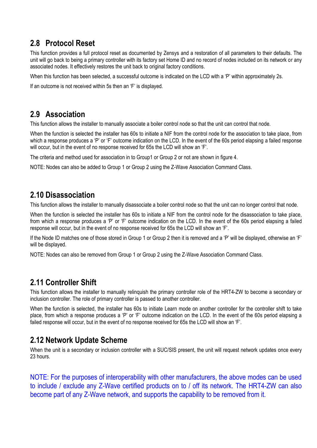### **2.8 Protocol Reset**

This function provides a full protocol reset as documented by Zensys and a restoration of all parameters to their defaults. The unit will go back to being a primary controller with its factory set Home ID and no record of nodes included on its network or any associated nodes. It effectively restores the unit back to original factory conditions.

When this function has been selected, a successful outcome is indicated on the LCD with a 'P' within approximately 2s.

If an outcome is not received within 5s then an 'F' is displayed.

#### **2.9 Association**

This function allows the installer to manually associate a boiler control node so that the unit can control that node.

When the function is selected the installer has 60s to initiate a NIF from the control node for the association to take place, from which a response produces a 'P' or 'F' outcome indication on the LCD. In the event of the 60s period elapsing a failed response will occur, but in the event of no response received for 65s the LCD will show an 'F'.

The criteria and method used for association in to Group1 or Group 2 or not are shown in figure 4.

NOTE: Nodes can also be added to Group 1 or Group 2 using the Z-Wave Association Command Class.

#### **2.10 Disassociation**

This function allows the installer to manually disassociate a boiler control node so that the unit can no longer control that node.

When the function is selected the installer has 60s to initiate a NIF from the control node for the disassociation to take place, from which a response produces a 'P' or 'F' outcome indication on the LCD. In the event of the 60s period elapsing a failed response will occur, but in the event of no response received for 65s the LCD will show an 'F'.

If the Node ID matches one of those stored in Group 1 or Group 2 then it is removed and a 'P' will be displayed, otherwise an 'F' will be displayed.

NOTE: Nodes can also be removed from Group 1 or Group 2 using the Z-Wave Association Command Class.

### **2.11 Controller Shift**

This function allows the installer to manually relinquish the primary controller role of the HRT4-ZW to become a secondary or inclusion controller. The role of primary controller is passed to another controller.

When the function is selected, the installer has 60s to initiate Learn mode on another controller for the controller shift to take place, from which a response produces a 'P' or 'F' outcome indication on the LCD. In the event of the 60s period elapsing a failed response will occur, but in the event of no response received for 65s the LCD will show an 'F'.

#### **2.12 Network Update Scheme**

When the unit is a secondary or inclusion controller with a SUC/SIS present, the unit will request network updates once every 23 hours.

NOTE: For the purposes of interoperability with other manufacturers, the above modes can be used to include / exclude any Z-Wave certified products on to / off its network. The HRT4-ZW can also become part of any Z-Wave network, and supports the capability to be removed from it.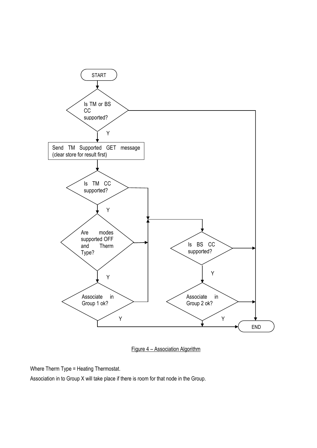

Figure 4 – Association Algorithm

Where Therm Type = Heating Thermostat.

Association in to Group X will take place if there is room for that node in the Group.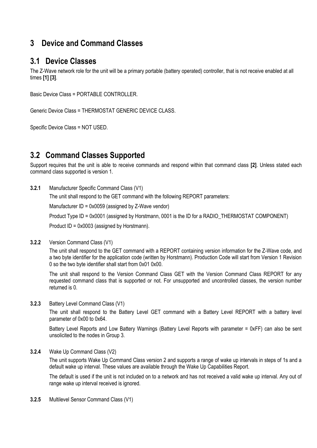#### **3 Device and Command Classes**

#### **3.1 Device Classes**

The Z-Wave network role for the unit will be a primary portable (battery operated) controller, that is not receive enabled at all times **[1] [3]**.

Basic Device Class = PORTABLE CONTROLLER.

Generic Device Class = THERMOSTAT GENERIC DEVICE CLASS.

Specific Device Class = NOT USED.

#### **3.2 Command Classes Supported**

Support requires that the unit is able to receive commands and respond within that command class **[2]**. Unless stated each command class supported is version 1.

**3.2.1** Manufacturer Specific Command Class (V1)

The unit shall respond to the GET command with the following REPORT parameters:

Manufacturer ID = 0x0059 (assigned by Z-Wave vendor)

Product Type ID = 0x0001 (assigned by Horstmann, 0001 is the ID for a RADIO THERMOSTAT COMPONENT)

Product ID = 0x0003 (assigned by Horstmann).

#### **3.2.2** Version Command Class (V1)

The unit shall respond to the GET command with a REPORT containing version information for the Z-Wave code, and a two byte identifier for the application code (written by Horstmann). Production Code will start from Version 1 Revision 0 so the two byte identifier shall start from 0x01 0x00.

The unit shall respond to the Version Command Class GET with the Version Command Class REPORT for any requested command class that is supported or not. For unsupported and uncontrolled classes, the version number returned is 0.

**3.2.3** Battery Level Command Class (V1)

The unit shall respond to the Battery Level GET command with a Battery Level REPORT with a battery level parameter of 0x00 to 0x64.

Battery Level Reports and Low Battery Warnings (Battery Level Reports with parameter = 0xFF) can also be sent unsolicited to the nodes in Group 3.

**3.2.4** Wake Up Command Class (V2)

The unit supports Wake Up Command Class version 2 and supports a range of wake up intervals in steps of 1s and a default wake up interval. These values are available through the Wake Up Capabilities Report.

The default is used if the unit is not included on to a network and has not received a valid wake up interval. Any out of range wake up interval received is ignored.

**3.2.5** Multilevel Sensor Command Class (V1)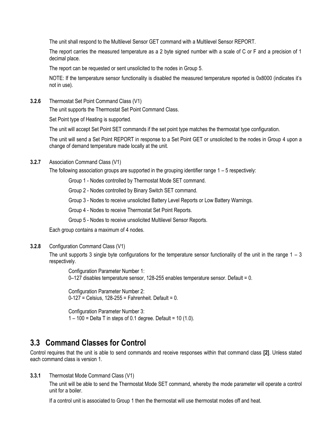The unit shall respond to the Multilevel Sensor GET command with a Multilevel Sensor REPORT.

The report carries the measured temperature as a 2 byte signed number with a scale of C or F and a precision of 1 decimal place.

The report can be requested or sent unsolicited to the nodes in Group 5.

NOTE: If the temperature sensor functionality is disabled the measured temperature reported is 0x8000 (indicates it's not in use).

**3.2.6** Thermostat Set Point Command Class (V1)

The unit supports the Thermostat Set Point Command Class.

Set Point type of Heating is supported.

The unit will accept Set Point SET commands if the set point type matches the thermostat type configuration.

The unit will send a Set Point REPORT in response to a Set Point GET or unsolicited to the nodes in Group 4 upon a change of demand temperature made locally at the unit.

**3.2.7** Association Command Class (V1)

The following association groups are supported in the grouping identifier range  $1 - 5$  respectively:

Group 1 - Nodes controlled by Thermostat Mode SET command.

Group 2 - Nodes controlled by Binary Switch SET command.

Group 3 - Nodes to receive unsolicited Battery Level Reports or Low Battery Warnings.

Group 4 - Nodes to receive Thermostat Set Point Reports.

Group 5 - Nodes to receive unsolicited Multilevel Sensor Reports.

Each group contains a maximum of 4 nodes.

**3.2.8** Configuration Command Class (V1)

The unit supports 3 single byte configurations for the temperature sensor functionality of the unit in the range  $1 - 3$ respectively.

Configuration Parameter Number 1: 0–127 disables temperature sensor, 128-255 enables temperature sensor. Default = 0.

Configuration Parameter Number 2:  $0-127$  = Celsius, 128-255 = Fahrenheit. Default = 0.

Configuration Parameter Number 3:  $1 - 100 =$  Delta T in steps of 0.1 degree. Default = 10 (1.0).

#### **3.3 Command Classes for Control**

Control requires that the unit is able to send commands and receive responses within that command class **[2]**. Unless stated each command class is version 1.

**3.3.1** Thermostat Mode Command Class (V1)

The unit will be able to send the Thermostat Mode SET command, whereby the mode parameter will operate a control unit for a boiler.

If a control unit is associated to Group 1 then the thermostat will use thermostat modes off and heat.